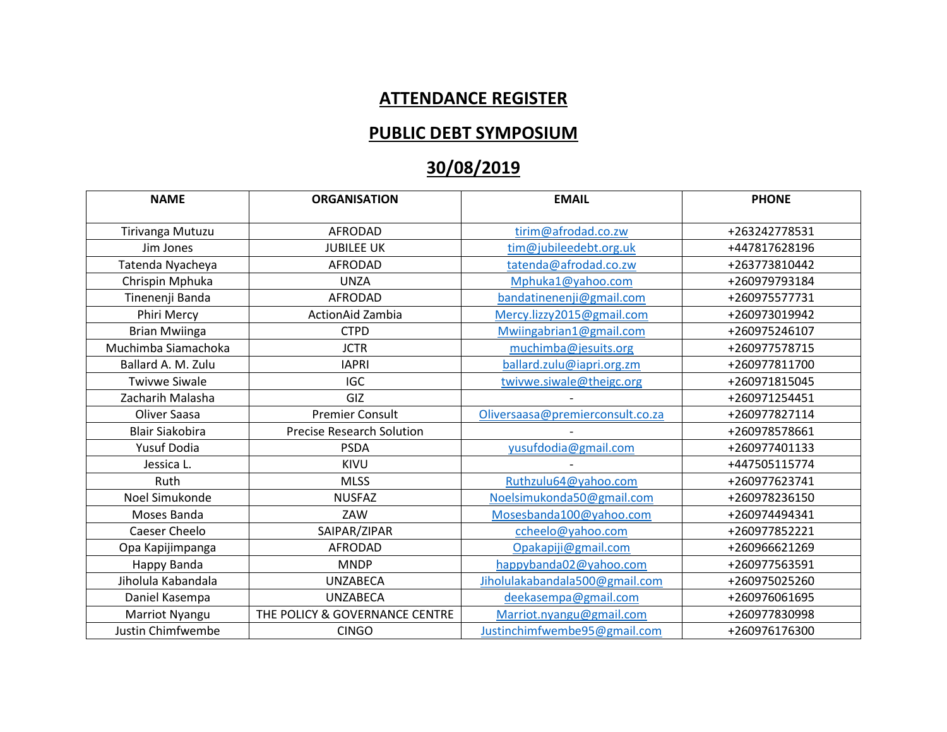## **ATTENDANCE REGISTER**

## **PUBLIC DEBT SYMPOSIUM**

## **30/08/2019**

| <b>NAME</b>            | <b>ORGANISATION</b>              | <b>EMAIL</b>                     | <b>PHONE</b>  |
|------------------------|----------------------------------|----------------------------------|---------------|
| Tirivanga Mutuzu       | <b>AFRODAD</b>                   | tirim@afrodad.co.zw              | +263242778531 |
|                        |                                  |                                  |               |
| Jim Jones              | <b>JUBILEE UK</b>                | tim@jubileedebt.org.uk           | +447817628196 |
| Tatenda Nyacheya       | <b>AFRODAD</b>                   | tatenda@afrodad.co.zw            | +263773810442 |
| Chrispin Mphuka        | <b>UNZA</b>                      | Mphuka1@yahoo.com                | +260979793184 |
| Tinenenji Banda        | <b>AFRODAD</b>                   | bandatinenenji@gmail.com         | +260975577731 |
| Phiri Mercy            | ActionAid Zambia                 | Mercy.lizzy2015@gmail.com        | +260973019942 |
| <b>Brian Mwiinga</b>   | <b>CTPD</b>                      | Mwiingabrian1@gmail.com          | +260975246107 |
| Muchimba Siamachoka    | <b>JCTR</b>                      | muchimba@jesuits.org             | +260977578715 |
| Ballard A. M. Zulu     | <b>IAPRI</b>                     | ballard.zulu@iapri.org.zm        | +260977811700 |
| <b>Twivwe Siwale</b>   | <b>IGC</b>                       | twivwe.siwale@theigc.org         | +260971815045 |
| Zacharih Malasha       | GIZ                              |                                  | +260971254451 |
| Oliver Saasa           | <b>Premier Consult</b>           | Oliversaasa@premierconsult.co.za | +260977827114 |
| <b>Blair Siakobira</b> | <b>Precise Research Solution</b> |                                  | +260978578661 |
| <b>Yusuf Dodia</b>     | <b>PSDA</b>                      | yusufdodia@gmail.com             | +260977401133 |
| Jessica L.             | KIVU                             |                                  | +447505115774 |
| Ruth                   | <b>MLSS</b>                      | Ruthzulu64@yahoo.com             | +260977623741 |
| Noel Simukonde         | <b>NUSFAZ</b>                    | Noelsimukonda50@gmail.com        | +260978236150 |
| Moses Banda            | ZAW                              | Mosesbanda100@yahoo.com          | +260974494341 |
| Caeser Cheelo          | SAIPAR/ZIPAR                     | ccheelo@yahoo.com                | +260977852221 |
| Opa Kapijimpanga       | <b>AFRODAD</b>                   | Opakapiji@gmail.com              | +260966621269 |
| Happy Banda            | <b>MNDP</b>                      | happybanda02@yahoo.com           | +260977563591 |
| Jiholula Kabandala     | <b>UNZABECA</b>                  | Jiholulakabandala500@gmail.com   | +260975025260 |
| Daniel Kasempa         | <b>UNZABECA</b>                  | deekasempa@gmail.com             | +260976061695 |
| Marriot Nyangu         | THE POLICY & GOVERNANCE CENTRE   | Marriot.nyangu@gmail.com         | +260977830998 |
| Justin Chimfwembe      | <b>CINGO</b>                     | Justinchimfwembe95@gmail.com     | +260976176300 |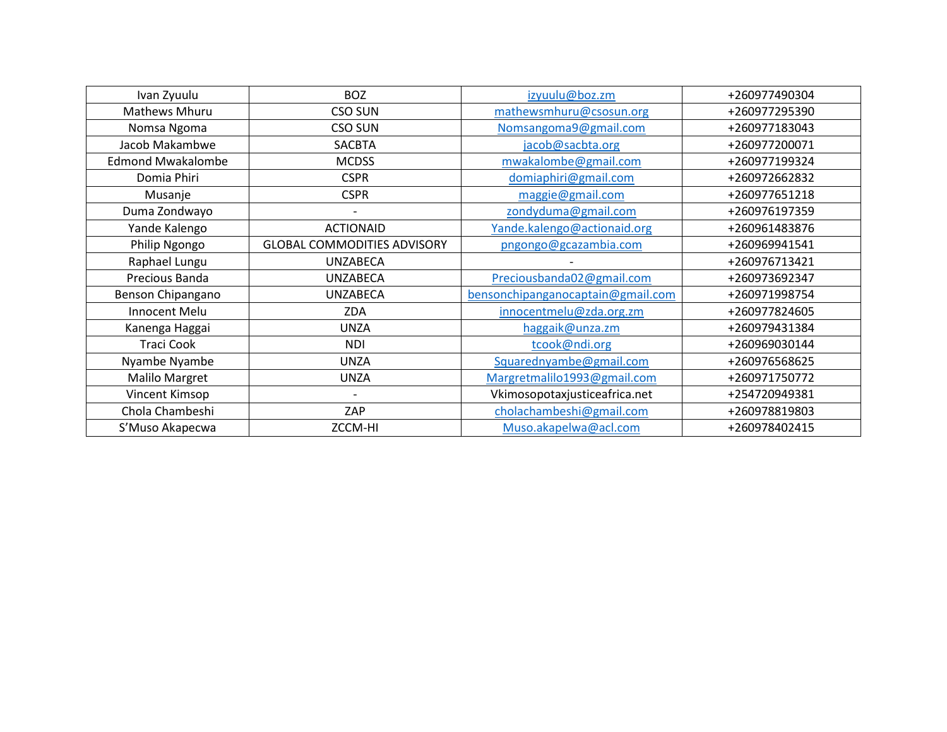| Ivan Zyuulu              | <b>BOZ</b>                         | izyuulu@boz.zm                    | +260977490304 |
|--------------------------|------------------------------------|-----------------------------------|---------------|
| Mathews Mhuru            | <b>CSO SUN</b>                     | mathewsmhuru@csosun.org           | +260977295390 |
| Nomsa Ngoma              | CSO SUN                            | Nomsangoma9@gmail.com             | +260977183043 |
| Jacob Makambwe           | <b>SACBTA</b>                      | jacob@sacbta.org                  | +260977200071 |
| <b>Edmond Mwakalombe</b> | <b>MCDSS</b>                       | mwakalombe@gmail.com              | +260977199324 |
| Domia Phiri              | <b>CSPR</b>                        | domiaphiri@gmail.com              | +260972662832 |
| Musanje                  | <b>CSPR</b>                        | maggie@gmail.com                  | +260977651218 |
| Duma Zondwayo            |                                    | zondyduma@gmail.com               | +260976197359 |
| Yande Kalengo            | <b>ACTIONAID</b>                   | Yande.kalengo@actionaid.org       | +260961483876 |
| Philip Ngongo            | <b>GLOBAL COMMODITIES ADVISORY</b> | pngongo@gcazambia.com             | +260969941541 |
| Raphael Lungu            | <b>UNZABECA</b>                    |                                   | +260976713421 |
| Precious Banda           | <b>UNZABECA</b>                    | Preciousbanda02@gmail.com         | +260973692347 |
| Benson Chipangano        | <b>UNZABECA</b>                    | bensonchipanganocaptain@gmail.com | +260971998754 |
| Innocent Melu            | ZDA                                | innocentmelu@zda.org.zm           | +260977824605 |
| Kanenga Haggai           | <b>UNZA</b>                        | haggaik@unza.zm                   | +260979431384 |
| <b>Traci Cook</b>        | <b>NDI</b>                         | tcook@ndi.org                     | +260969030144 |
| Nyambe Nyambe            | <b>UNZA</b>                        | Squarednyambe@gmail.com           | +260976568625 |
| <b>Malilo Margret</b>    | <b>UNZA</b>                        | Margretmalilo1993@gmail.com       | +260971750772 |
| Vincent Kimsop           |                                    | Vkimosopotaxjusticeafrica.net     | +254720949381 |
| Chola Chambeshi          | ZAP                                | cholachambeshi@gmail.com          | +260978819803 |
| S'Muso Akapecwa          | ZCCM-HI                            | Muso.akapelwa@acl.com             | +260978402415 |